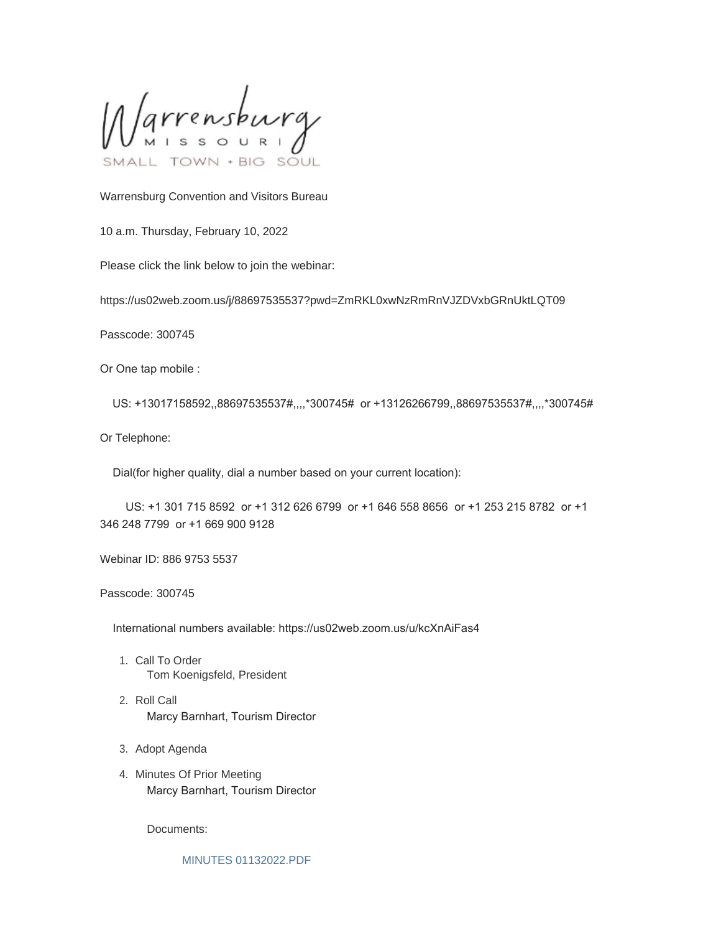Varrensburg SOUL

Warrensburg Convention and Visitors Bureau

10 a.m. Thursday, February 10, 2022

Please click the link below to join the webinar:

https://us02web.zoom.us/j/88697535537?pwd=ZmRKL0xwNzRmRnVJZDVxbGRnUktLQT09

Passcode: 300745

Or One tap mobile :

US: +13017158592,,88697535537#,,,,\*300745# or +13126266799,,88697535537#,,,,\*300745#

Or Telephone:

Dial(for higher quality, dial a number based on your current location):

 US: +1 301 715 8592 or +1 312 626 6799 or +1 646 558 8656 or +1 253 215 8782 or +1 346 248 7799 or +1 669 900 9128

Webinar ID: 886 9753 5537

Passcode: 300745

International numbers available: https://us02web.zoom.us/u/kcXnAiFas4

- 1. Call To Order Tom Koenigsfeld, President
- 2. Roll Call Marcy Barnhart, Tourism Director
- 3. Adopt Agenda
- 4. Minutes Of Prior Meeting Marcy Barnhart, Tourism Director

Documents:

[MINUTES 01132022.PDF](https://www.warrensburg-mo.com/AgendaCenter/ViewFile/Item/5955?fileID=10303)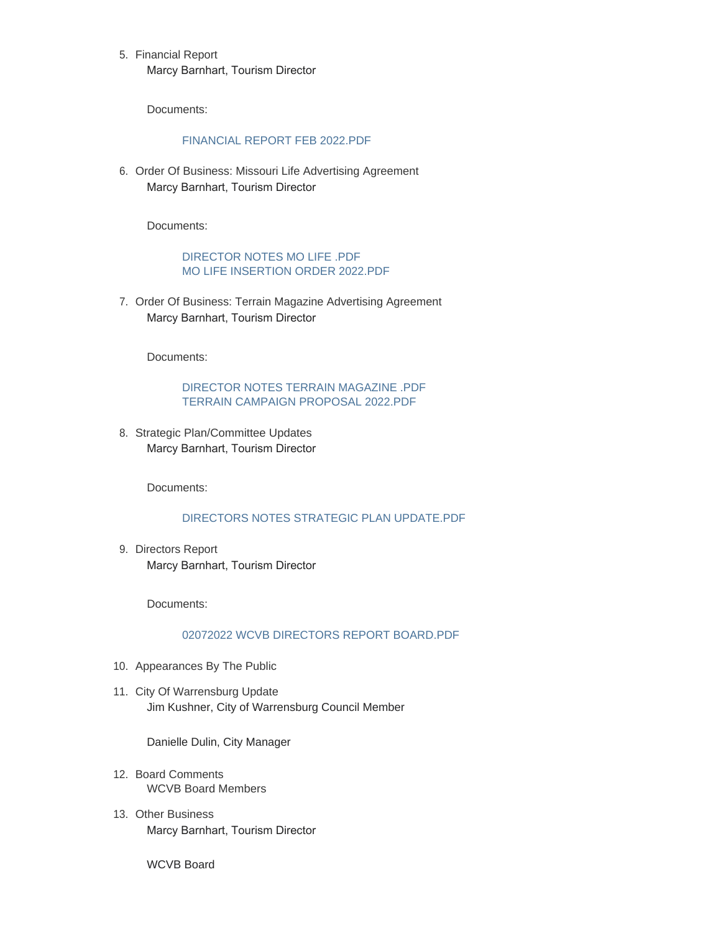5. Financial Report Marcy Barnhart, Tourism Director

Documents:

## [FINANCIAL REPORT FEB 2022.PDF](https://www.warrensburg-mo.com/AgendaCenter/ViewFile/Item/5956?fileID=10304)

6. Order Of Business: Missouri Life Advertising Agreement Marcy Barnhart, Tourism Director

Documents:

[DIRECTOR NOTES MO LIFE .PDF](https://www.warrensburg-mo.com/AgendaCenter/ViewFile/Item/5957?fileID=10305) [MO LIFE INSERTION ORDER 2022.PDF](https://www.warrensburg-mo.com/AgendaCenter/ViewFile/Item/5957?fileID=10306)

7. Order Of Business: Terrain Magazine Advertising Agreement Marcy Barnhart, Tourism Director

Documents:

[DIRECTOR NOTES TERRAIN MAGAZINE .PDF](https://www.warrensburg-mo.com/AgendaCenter/ViewFile/Item/5958?fileID=10307) [TERRAIN CAMPAIGN PROPOSAL 2022.PDF](https://www.warrensburg-mo.com/AgendaCenter/ViewFile/Item/5958?fileID=10308)

8. Strategic Plan/Committee Updates Marcy Barnhart, Tourism Director

Documents:

## [DIRECTORS NOTES STRATEGIC PLAN UPDATE.PDF](https://www.warrensburg-mo.com/AgendaCenter/ViewFile/Item/5959?fileID=10309)

9. Directors Report Marcy Barnhart, Tourism Director

Documents:

## [02072022 WCVB DIRECTORS REPORT BOARD.PDF](https://www.warrensburg-mo.com/AgendaCenter/ViewFile/Item/5960?fileID=10310)

- 10. Appearances By The Public
- 11. City Of Warrensburg Update Jim Kushner, City of Warrensburg Council Member

Danielle Dulin, City Manager

- 12. Board Comments WCVB Board Members
- 13. Other Business Marcy Barnhart, Tourism Director

WCVB Board